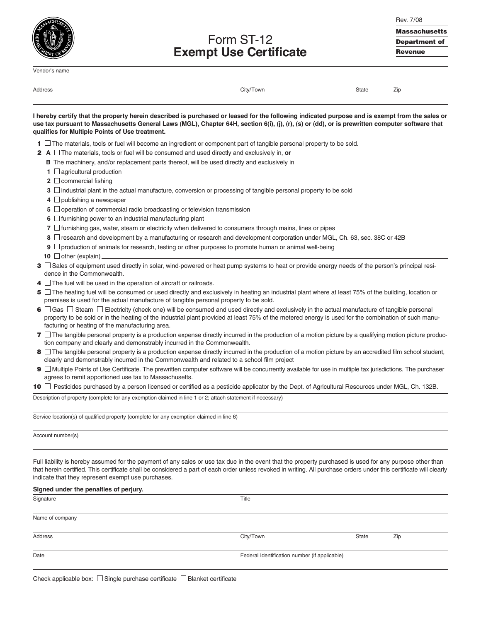Vendor's name

Form ST-12 **Exempt Use Certificate** Rev. 7/08 **Massachusetts Department of Revenue**

| Address |
|---------|

Address City/Town State Zip

| I hereby certify that the property herein described is purchased or leased for the following indicated purpose and is exempt from the sales or  |  |
|-------------------------------------------------------------------------------------------------------------------------------------------------|--|
| use tax pursuant to Massachusetts General Laws (MGL), Chapter 64H, section 6(i), (j), (r), (s) or (dd), or is prewritten computer software that |  |
| qualifies for Multiple Points of Use treatment.                                                                                                 |  |

- **1**  $\Box$  The materials, tools or fuel will become an ingredient or component part of tangible personal property to be sold.
- **2 A** □ The materials, tools or fuel will be consumed and used directly and exclusively in, **or** 
	- **B** The machinery, and/or replacement parts thereof, will be used directly and exclusively in
	- **1** □ agricultural production
	- **2** commercial fishing
	- **3**  $\Box$  industrial plant in the actual manufacture, conversion or processing of tangible personal property to be sold
	- **4** □ publishing a newspaper
	- **5** Operation of commercial radio broadcasting or television transmission
	- **6**  $\Box$  furnishing power to an industrial manufacturing plant
	- **7**  $\Box$  furnishing gas, water, steam or electricity when delivered to consumers through mains, lines or pipes
	- **8**  $□$  research and development by a manufacturing or research and development corporation under MGL, Ch. 63, sec. 38C or 42B
	- **9**  $\Box$  production of animals for research, testing or other purposes to promote human or animal well-being
	- **10 □** other (explain)
- **3**  $\Box$  Sales of equipment used directly in solar, wind-powered or heat pump systems to heat or provide energy needs of the person's principal residence in the Commonwealth.
- **4**  $\Box$  The fuel will be used in the operation of aircraft or railroads.
- **5**  $\Box$  The heating fuel will be consumed or used directly and exclusively in heating an industrial plant where at least 75% of the building, location or premises is used for the actual manufacture of tangible personal property to be sold.
- **6**  $□$  Gas  $□$  Steam  $□$  Electricity (check one) will be consumed and used directly and exclusively in the actual manufacture of tangible personal property to be sold or in the heating of the industrial plant provided at least 75% of the metered energy is used for the combination of such manufacturing or heating of the manufacturing area.
- **7**  $\Box$  The tangible personal property is a production expense directly incurred in the production of a motion picture by a qualifying motion picture production company and clearly and demonstrably incurred in the Commonwealth.
- **8**  $□$  The tangible personal property is a production expense directly incurred in the production of a motion picture by an accredited film school student, clearly and demonstrably incurred in the Commonwealth and related to a school film project
- **9**  $\Box$  Multiple Points of Use Certificate. The prewritten computer software will be concurrently available for use in multiple tax jurisdictions. The purchaser agrees to remit apportioned use tax to Massachusetts.

**10** □ Pesticides purchased by a person licensed or certified as a pesticide applicator by the Dept. of Agricultural Resources under MGL, Ch. 132B.

Description of property (complete for any exemption claimed in line 1 or 2; attach statement if necessary)

Service location(s) of qualified property (complete for any exemption claimed in line 6)

Account number(s)

Full liability is hereby assumed for the payment of any sales or use tax due in the event that the property purchased is used for any purpose other than that herein certified. This certificate shall be considered a part of each order unless revoked in writing. All purchase orders under this certificate will clearly indicate that they represent exempt use purchases.

| Signed under the penalties of perjury. |           |                                               |     |  |  |
|----------------------------------------|-----------|-----------------------------------------------|-----|--|--|
| Signature                              | Title     |                                               |     |  |  |
| Name of company                        |           |                                               |     |  |  |
| Address                                | City/Town | State                                         | Zip |  |  |
| Date                                   |           | Federal Identification number (if applicable) |     |  |  |
|                                        |           |                                               |     |  |  |